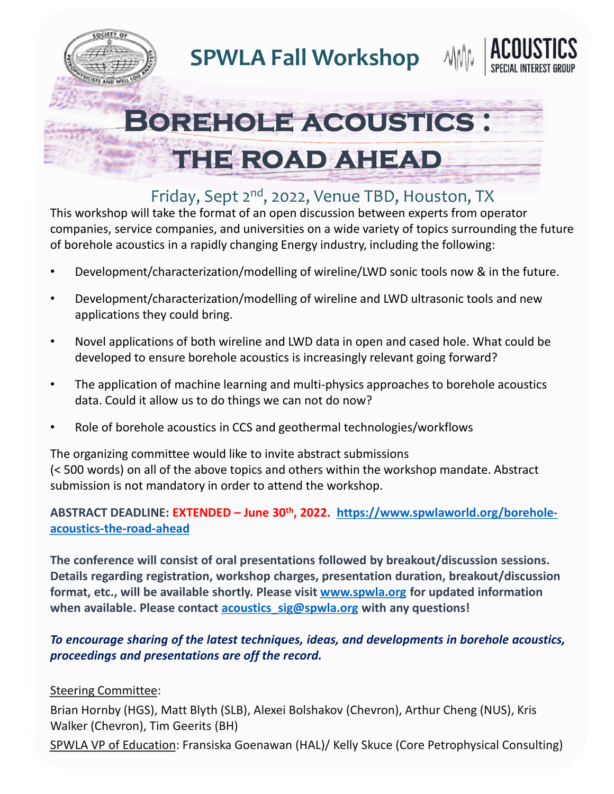

**SPWLA Fall Workshop**





## Friday, Sept 2<sup>nd</sup>, 2022, Venue TBD, Houston, TX

This workshop will take the format of an open discussion between experts from operator companies, service companies, and universities on a wide variety of topics surrounding the future of borehole acoustics in a rapidly changing Energy industry, including the following:

- Development/characterization/modelling of wireline/LWD sonic tools now & in the future.
- Development/characterization/modelling of wireline and LWD ultrasonic tools and new applications they could bring.
- Novel applications of both wireline and LWD data in open and cased hole. What could be developed to ensure borehole acoustics is increasingly relevant going forward?
- The application of machine learning and multi-physics approaches to borehole acoustics data. Could it allow us to do things we can not do now?
- Role of borehole acoustics in CCS and geothermal technologies/workflows

The organizing committee would like to invite abstract submissions (< 500 words) on all of the above topics and others within the workshop mandate. Abstract submission is not mandatory in order to attend the workshop.

## **ABSTRACT DEADLINE: EXTENDED – June 30th, 2022. https://www.spwlaworld.org/boreholeacoustics-the-road-ahead**

**The conference will consist of oral presentations followed by breakout/discussion sessions. Details regarding registration, workshop charges, presentation duration, breakout/discussion format, etc., will be available shortly. Please visit www.spwla.org for updated information when available. Please contact acoustics\_sig@spwla.org with any questions!**

## *To encourage sharing of the latest techniques, ideas, and developments in borehole acoustics, proceedings and presentations are off the record.*

## Steering Committee:

Brian Hornby (HGS), Matt Blyth (SLB), Alexei Bolshakov (Chevron), Arthur Cheng (NUS), Kris Walker (Chevron), Tim Geerits (BH)

SPWLA VP of Education: Fransiska Goenawan (HAL)/ Kelly Skuce (Core Petrophysical Consulting)